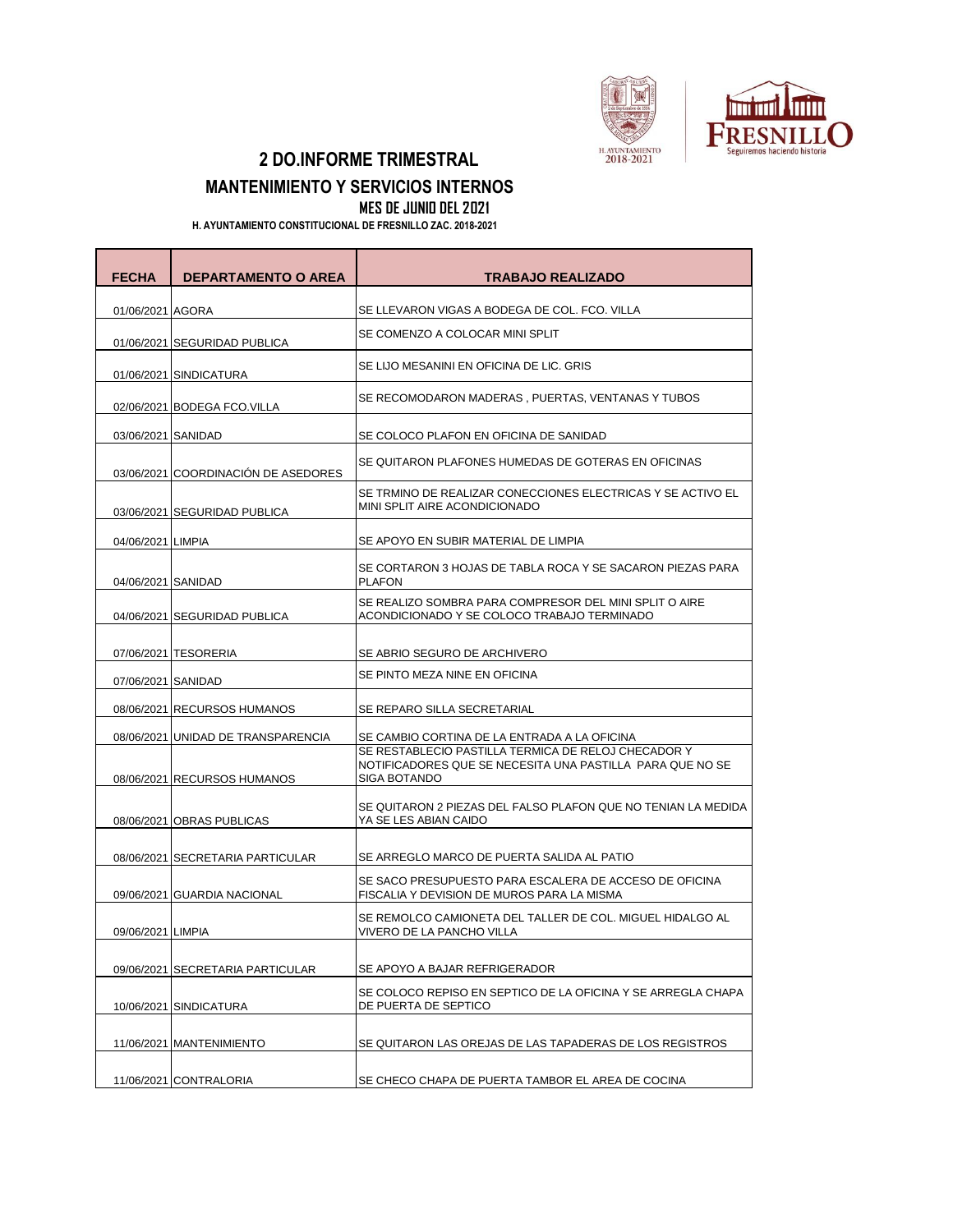

## **2 DO.INFORME TRIMESTRAL**

## **MANTENIMIENTO Y SERVICIOS INTERNOS**

**MES DE JUNIO DEL 2021**

 **H. AYUNTAMIENTO CONSTITUCIONAL DE FRESNILLO ZAC. 2018-2021**

| <b>FECHA</b>       | <b>DEPARTAMENTO O AREA</b>          | <b>TRABAJO REALIZADO</b>                                                                                                         |
|--------------------|-------------------------------------|----------------------------------------------------------------------------------------------------------------------------------|
| 01/06/2021 AGORA   |                                     | SE LLEVARON VIGAS A BODEGA DE COL. FCO. VILLA                                                                                    |
|                    | 01/06/2021 SEGURIDAD PUBLICA        | SE COMENZO A COLOCAR MINI SPLIT                                                                                                  |
|                    | 01/06/2021 SINDICATURA              | SE LIJO MESANINI EN OFICINA DE LIC. GRIS                                                                                         |
|                    | 02/06/2021 BODEGA FCO.VILLA         | SE RECOMODARON MADERAS, PUERTAS, VENTANAS Y TUBOS                                                                                |
| 03/06/2021 SANIDAD |                                     | SE COLOCO PLAFON EN OFICINA DE SANIDAD                                                                                           |
|                    | 03/06/2021 COORDINACIÓN DE ASEDORES | SE QUITARON PLAFONES HUMEDAS DE GOTERAS EN OFICINAS                                                                              |
|                    | 03/06/2021 SEGURIDAD PUBLICA        | SE TRMINO DE REALIZAR CONECCIONES ELECTRICAS Y SE ACTIVO EL<br>MINI SPLIT AIRE ACONDICIONADO                                     |
| 04/06/2021 LIMPIA  |                                     | SE APOYO EN SUBIR MATERIAL DE LIMPIA                                                                                             |
| 04/06/2021 SANIDAD |                                     | SE CORTARON 3 HOJAS DE TABLA ROCA Y SE SACARON PIEZAS PARA<br><b>PLAFON</b>                                                      |
|                    | 04/06/2021 SEGURIDAD PUBLICA        | SE REALIZO SOMBRA PARA COMPRESOR DEL MINI SPLIT O AIRE<br>ACONDICIONADO Y SE COLOCO TRABAJO TERMINADO                            |
|                    | 07/06/2021 TESORERIA                | SE ABRIO SEGURO DE ARCHIVERO                                                                                                     |
| 07/06/2021 SANIDAD |                                     | SE PINTO MEZA NINE EN OFICINA                                                                                                    |
|                    | 08/06/2021 RECURSOS HUMANOS         | SE REPARO SILLA SECRETARIAL                                                                                                      |
|                    | 08/06/2021 UNIDAD DE TRANSPARENCIA  | SE CAMBIO CORTINA DE LA ENTRADA A LA OFICINA                                                                                     |
|                    | 08/06/2021 RECURSOS HUMANOS         | SE RESTABLECIO PASTILLA TERMICA DE RELOJ CHECADOR Y<br>NOTIFICADORES QUE SE NECESITA UNA PASTILLA PARA QUE NO SE<br>SIGA BOTANDO |
|                    | 08/06/2021 OBRAS PUBLICAS           | SE QUITARON 2 PIEZAS DEL FALSO PLAFON QUE NO TENIAN LA MEDIDA<br>YA SE LES ABIAN CAIDO                                           |
|                    | 08/06/2021 SECRETARIA PARTICULAR    | SE ARREGLO MARCO DE PUERTA SALIDA AL PATIO                                                                                       |
|                    | 09/06/2021 GUARDIA NACIONAL         | SE SACO PRESUPUESTO PARA ESCALERA DE ACCESO DE OFICINA<br>FISCALIA Y DEVISION DE MUROS PARA LA MISMA                             |
| 09/06/2021 LIMPIA  |                                     | SE REMOLCO CAMIONETA DEL TALLER DE COL. MIGUEL HIDALGO AL<br>VIVERO DE LA PANCHO VILLA                                           |
|                    | 09/06/2021 SECRETARIA PARTICULAR    | SE APOYO A BAJAR REFRIGERADOR                                                                                                    |
|                    | 10/06/2021 SINDICATURA              | SE COLOCO REPISO EN SEPTICO DE LA OFICINA Y SE ARREGLA CHAPA<br>DE PUERTA DE SEPTICO                                             |
|                    | 11/06/2021   MANTENIMIENTO          | SE QUITARON LAS OREJAS DE LAS TAPADERAS DE LOS REGISTROS                                                                         |
|                    | 11/06/2021 CONTRALORIA              | SE CHECO CHAPA DE PUERTA TAMBOR EL AREA DE COCINA                                                                                |